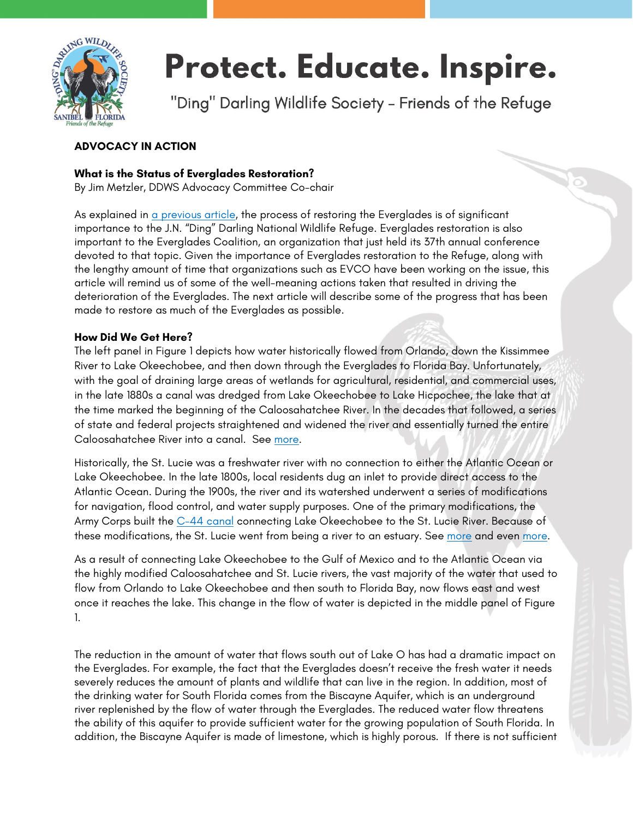

# Protect. Educate. Inspire.

"Ding" Darling Wildlife Society - Friends of the Refuge

## **ADVOCACY IN ACTION**

### **What is the Status of Everglades Restoration?**

By Jim Metzler, DDWS Advocacy Committee Co-chair

As explained in [a previous article,](https://www.dingdarlingsociety.org/downloadable-files/5e2ee5aba88b376244be68bb.pdf) the process of restoring the Everglades is of significant importance to the J.N. "Ding" Darling National Wildlife Refuge. Everglades restoration is also important to the Everglades Coalition, an organization that just held its 37th annual conference devoted to that topic. Given the importance of Everglades restoration to the Refuge, along with the lengthy amount of time that organizations such as EVCO have been working on the issue, this article will remind us of some of the well-meaning actions taken that resulted in driving the deterioration of the Everglades. The next article will describe some of the progress that has been made to restore as much of the Everglades as possible.

#### **How Did We Get Here?**

The left panel in Figure 1 depicts how water historically flowed from Orlando, down the Kissimmee River to Lake Okeechobee, and then down through the Everglades to Florida Bay. Unfortunately, with the goal of draining large areas of wetlands for agricultural, residential, and commercial uses, in the late 1880s a canal was dredged from Lake Okeechobee to Lake Hicpochee, the lake that at the time marked the beginning of the Caloosahatchee River. In the decades that followed, a series of state and federal projects straightened and widened the river and essentially turned the entire Caloosahatchee River into a canal. See [more.](http://www.sarasota.wateratlas.usf.edu/upload/documents/05AlteringTheCaloosahatcheev2.pdf)

Historically, the St. Lucie was a freshwater river with no connection to either the Atlantic Ocean or Lake Okeechobee. In the late 1800s, local residents dug an inlet to provide direct access to the Atlantic Ocean. During the 1900s, the river and its watershed underwent a series of modifications for navigation, flood control, and water supply purposes. One of the primary modifications, the Army Corps built the [C-44 canal](https://en.wikipedia.org/wiki/St._Lucie_Canal_(C-44)) connecting Lake Okeechobee to the St. Lucie River. Because of these modifications, the St. Lucie went from being a river to an estuary. See [more](https://jacquithurlowlippisch.com/2014/06/17/the-history-of-the-name-st-lucie-river-and-) and even [more.](https://jacquithurlowlippisch.com/2015/06/08/journey-back-in-time-to-see-the-creation-of-c-44-the-greatest-negative-impact-to-the-st-lucie-riverindian-river-lagoon/)

As a result of connecting Lake Okeechobee to the Gulf of Mexico and to the Atlantic Ocean via the highly modified Caloosahatchee and St. Lucie rivers, the vast majority of the water that used to flow from Orlando to Lake Okeechobee and then south to Florida Bay, now flows east and west once it reaches the lake. This change in the flow of water is depicted in the middle panel of Figure 1.

The reduction in the amount of water that flows south out of Lake O has had a dramatic impact on the Everglades. For example, the fact that the Everglades doesn't receive the fresh water it needs severely reduces the amount of plants and wildlife that can live in the region. In addition, most of the drinking water for South Florida comes from the Biscayne Aquifer, which is an underground river replenished by the flow of water through the Everglades. The reduced water flow threatens the ability of this aquifer to provide sufficient water for the growing population of South Florida. In addition, the Biscayne Aquifer is made of limestone, which is highly porous. If there is not sufficient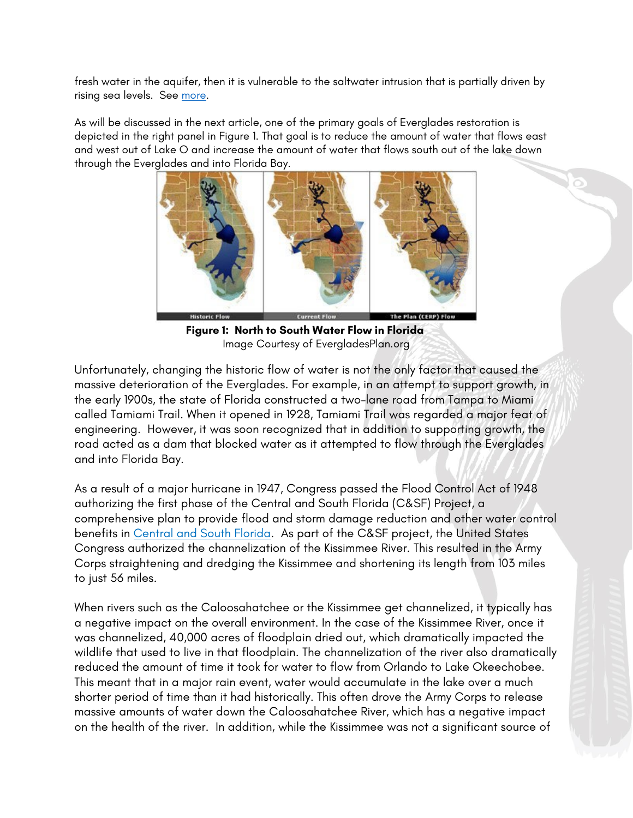fresh water in the aquifer, then it is vulnerable to the saltwater intrusion that is partially driven by rising sea levels. See [more.](https://fl.audubon.org/sites/default/files/our_everglades_our_water_fact_sheet.pdf)

As will be discussed in the next article, one of the primary goals of Everglades restoration is depicted in the right panel in Figure 1. That goal is to reduce the amount of water that flows east and west out of Lake O and increase the amount of water that flows south out of the lake down through the Everglades and into Florida Bay.



**Figure 1: North to South Water Flow in Florida** Image Courtesy of EvergladesPlan.org

Unfortunately, changing the historic flow of water is not the only factor that caused the massive deterioration of the Everglades. For example, in an attempt to support growth, in the early 1900s, the state of Florida constructed a two-lane road from Tampa to Miami called Tamiami Trail. When it opened in 1928, Tamiami Trail was regarded a major feat of engineering. However, it was soon recognized that in addition to supporting growth, the road acted as a dam that blocked water as it attempted to flow through the Everglades and into Florida Bay.

As a result of a major hurricane in 1947, Congress passed the Flood Control Act of 1948 authorizing the first phase of the [Central and South Florida \(C&SF\) Project,](https://www.sfwmd.gov/sites/default/files/documents/CENTRAL_AND_SOUTHERN_FLORIDA_PROJECT_COMPREHENSIVE_REVIEW_STUDY.pdf) a comprehensive plan to provide flood and storm damage reduction and other water control benefits in Central and South Florida. As part of the C&SF project, the United States Congress authorized the channelization of the Kissimmee River. This resulted in the Army Corps straightening and dredging the Kissimmee and shortening its length from 103 miles to just 56 miles.

When rivers such as the Caloosahatchee or the Kissimmee get channelized, it typically has a negative impact on the overall environment. In the case of the Kissimmee River, once it was channelized, 40,000 acres of floodplain dried out, which dramatically impacted the wildlife that used to live in that floodplain. The channelization of the river also dramatically reduced the amount of time it took for water to flow from Orlando to Lake Okeechobee. This meant that in a major rain event, water would accumulate in the lake over a much shorter period of time than it had historically. This often drove the Army Corps to release massive amounts of water down the Caloosahatchee River, which has a negative impact on the health of the river. In addition, while the Kissimmee was not a significant source of